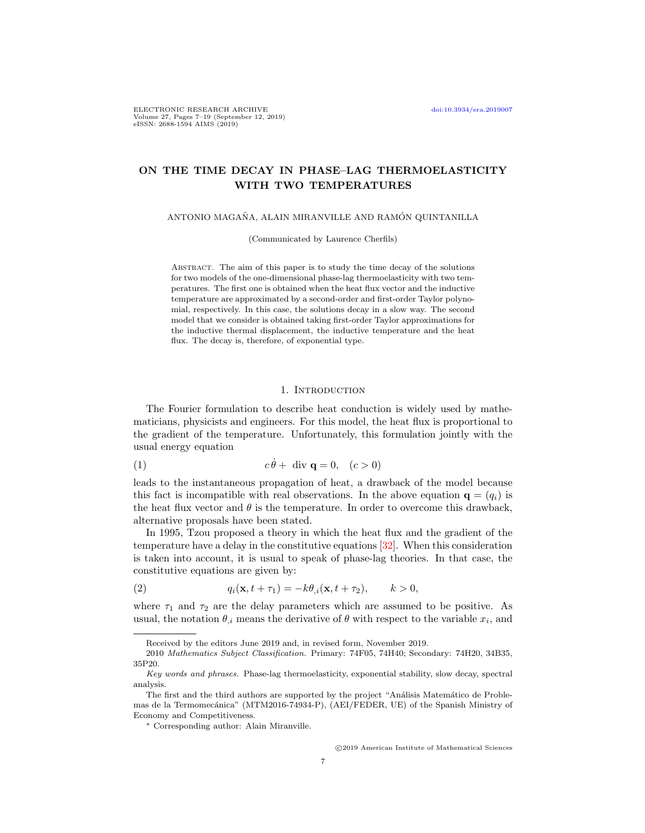# ON THE TIME DECAY IN PHASE–LAG THERMOELASTICITY WITH TWO TEMPERATURES

ANTONIO MAGAÑA, ALAIN MIRANVILLE AND RAMÓN QUINTANILLA

(Communicated by Laurence Cherfils)

ABSTRACT. The aim of this paper is to study the time decay of the solutions for two models of the one-dimensional phase-lag thermoelasticity with two temperatures. The first one is obtained when the heat flux vector and the inductive temperature are approximated by a second-order and first-order Taylor polynomial, respectively. In this case, the solutions decay in a slow way. The second model that we consider is obtained taking first-order Taylor approximations for the inductive thermal displacement, the inductive temperature and the heat flux. The decay is, therefore, of exponential type.

### <span id="page-0-1"></span>1. INTRODUCTION

The Fourier formulation to describe heat conduction is widely used by mathematicians, physicists and engineers. For this model, the heat flux is proportional to the gradient of the temperature. Unfortunately, this formulation jointly with the usual energy equation

$$
(1) \t\t c\dot{\theta} + \text{div } \mathbf{q} = 0, \quad (c > 0)
$$

leads to the instantaneous propagation of heat, a drawback of the model because this fact is incompatible with real observations. In the above equation  $\mathbf{q} = (q_i)$  is the heat flux vector and  $\theta$  is the temperature. In order to overcome this drawback, alternative proposals have been stated.

In 1995, Tzou proposed a theory in which the heat flux and the gradient of the temperature have a delay in the constitutive equations [\[32\]](#page-12-0). When this consideration is taken into account, it is usual to speak of phase-lag theories. In that case, the constitutive equations are given by:

<span id="page-0-0"></span>(2) 
$$
q_i(\mathbf{x}, t + \tau_1) = -k\theta_{,i}(\mathbf{x}, t + \tau_2), \qquad k > 0,
$$

where  $\tau_1$  and  $\tau_2$  are the delay parameters which are assumed to be positive. As usual, the notation  $\theta_{i}$  means the derivative of  $\theta$  with respect to the variable  $x_i$ , and

Received by the editors June 2019 and, in revised form, November 2019.

<sup>2010</sup> Mathematics Subject Classification. Primary: 74F05, 74H40; Secondary: 74H20, 34B35, 35P20.

Key words and phrases. Phase-lag thermoelasticity, exponential stability, slow decay, spectral analysis.

The first and the third authors are supported by the project "Análisis Matemático de Problemas de la Termomecánica" (MTM2016-74934-P), (AEI/FEDER, UE) of the Spanish Ministry of Economy and Competitiveness.

<sup>∗</sup> Corresponding author: Alain Miranville.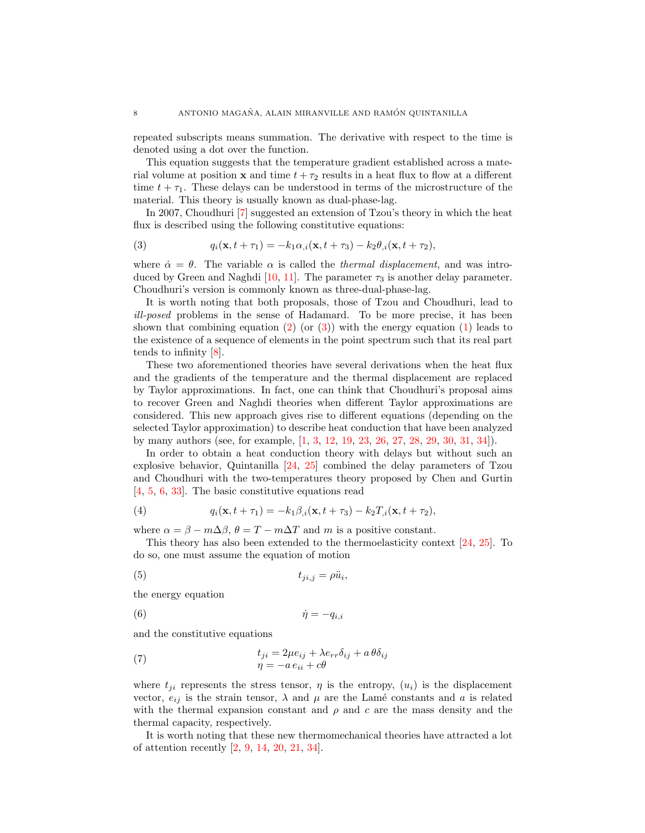repeated subscripts means summation. The derivative with respect to the time is denoted using a dot over the function.

This equation suggests that the temperature gradient established across a material volume at position **x** and time  $t + \tau_2$  results in a heat flux to flow at a different time  $t + \tau_1$ . These delays can be understood in terms of the microstructure of the material. This theory is usually known as dual-phase-lag.

In 2007, Choudhuri [\[7\]](#page-11-0) suggested an extension of Tzou's theory in which the heat flux is described using the following constitutive equations:

<span id="page-1-0"></span>(3) 
$$
q_i(\mathbf{x}, t + \tau_1) = -k_1 \alpha_{,i}(\mathbf{x}, t + \tau_3) - k_2 \theta_{,i}(\mathbf{x}, t + \tau_2),
$$

where  $\dot{\alpha} = \theta$ . The variable  $\alpha$  is called the *thermal displacement*, and was intro-duced by Green and Naghdi [\[10,](#page-11-1) [11\]](#page-11-2). The parameter  $\tau_3$  is another delay parameter. Choudhuri's version is commonly known as three-dual-phase-lag.

It is worth noting that both proposals, those of Tzou and Choudhuri, lead to ill-posed problems in the sense of Hadamard. To be more precise, it has been shown that combining equation  $(2)$  (or  $(3)$ ) with the energy equation  $(1)$  leads to the existence of a sequence of elements in the point spectrum such that its real part tends to infinity [\[8\]](#page-11-3).

These two aforementioned theories have several derivations when the heat flux and the gradients of the temperature and the thermal displacement are replaced by Taylor approximations. In fact, one can think that Choudhuri's proposal aims to recover Green and Naghdi theories when different Taylor approximations are considered. This new approach gives rise to different equations (depending on the selected Taylor approximation) to describe heat conduction that have been analyzed by many authors (see, for example, [\[1,](#page-11-4) [3,](#page-11-5) [12,](#page-11-6) [19,](#page-12-1) [23,](#page-12-2) [26,](#page-12-3) [27,](#page-12-4) [28,](#page-12-5) [29,](#page-12-6) [30,](#page-12-7) [31,](#page-12-8) [34\]](#page-12-9)).

In order to obtain a heat conduction theory with delays but without such an explosive behavior, Quintanilla [\[24,](#page-12-10) [25\]](#page-12-11) combined the delay parameters of Tzou and Choudhuri with the two-temperatures theory proposed by Chen and Gurtin [\[4,](#page-11-7) [5,](#page-11-8) [6,](#page-11-9) [33\]](#page-12-12). The basic constitutive equations read

(4) 
$$
q_i(\mathbf{x}, t + \tau_1) = -k_1 \beta_{i}( \mathbf{x}, t + \tau_3) - k_2 T_{i}( \mathbf{x}, t + \tau_2),
$$

where  $\alpha = \beta - m\Delta\beta$ ,  $\theta = T - m\Delta T$  and m is a positive constant.

This theory has also been extended to the thermoelasticity context [\[24,](#page-12-10) [25\]](#page-12-11). To do so, one must assume the equation of motion

$$
(5) \t t_{ji,j} = \rho \ddot{u}_i,
$$

the energy equation

$$
\dot{\eta} = -q_{i,i}
$$

and the constitutive equations

(7) 
$$
t_{ji} = 2\mu e_{ij} + \lambda e_{rr}\delta_{ij} + a\theta\delta_{ij}
$$

$$
\eta = -a e_{ii} + c\theta
$$

where  $t_{ji}$  represents the stress tensor,  $\eta$  is the entropy,  $(u_i)$  is the displacement vector,  $e_{ij}$  is the strain tensor,  $\lambda$  and  $\mu$  are the Lamé constants and a is related with the thermal expansion constant and  $\rho$  and c are the mass density and the thermal capacity, respectively.

It is worth noting that these new thermomechanical theories have attracted a lot of attention recently [\[2,](#page-11-10) [9,](#page-11-11) [14,](#page-12-13) [20,](#page-12-14) [21,](#page-12-15) [34\]](#page-12-9).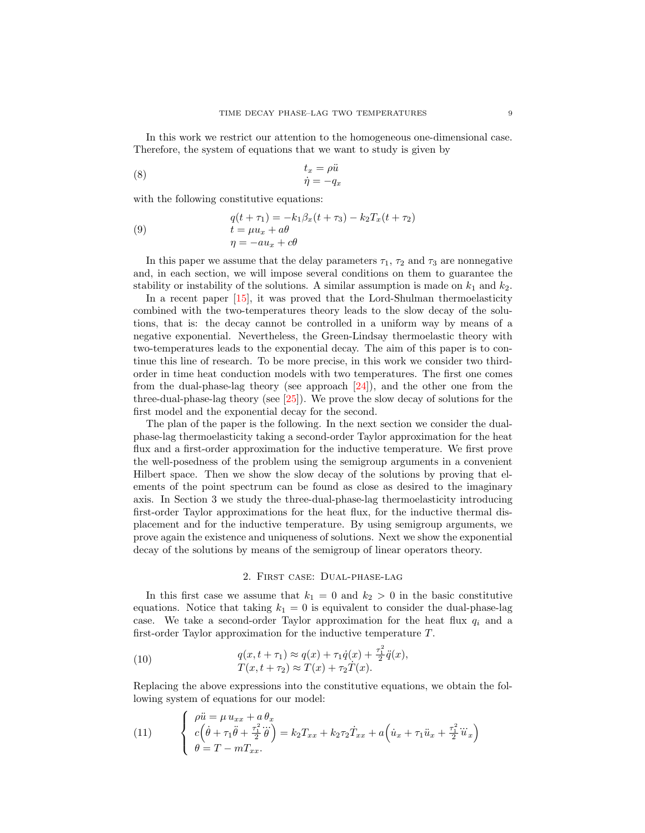In this work we restrict our attention to the homogeneous one-dimensional case. Therefore, the system of equations that we want to study is given by

(8) 
$$
t_x = \rho \ddot{u}
$$

$$
\dot{\eta} = -q_x
$$

with the following constitutive equations:

(9) 
$$
q(t + \tau_1) = -k_1 \beta_x (t + \tau_3) - k_2 T_x (t + \tau_2)
$$

$$
t = \mu u_x + a\theta
$$

$$
\eta = -au_x + c\theta
$$

In this paper we assume that the delay parameters  $\tau_1$ ,  $\tau_2$  and  $\tau_3$  are nonnegative and, in each section, we will impose several conditions on them to guarantee the stability or instability of the solutions. A similar assumption is made on  $k_1$  and  $k_2$ .

In a recent paper [\[15\]](#page-12-16), it was proved that the Lord-Shulman thermoelasticity combined with the two-temperatures theory leads to the slow decay of the solutions, that is: the decay cannot be controlled in a uniform way by means of a negative exponential. Nevertheless, the Green-Lindsay thermoelastic theory with two-temperatures leads to the exponential decay. The aim of this paper is to continue this line of research. To be more precise, in this work we consider two thirdorder in time heat conduction models with two temperatures. The first one comes from the dual-phase-lag theory (see approach [\[24\]](#page-12-10)), and the other one from the three-dual-phase-lag theory (see [\[25\]](#page-12-11)). We prove the slow decay of solutions for the first model and the exponential decay for the second.

The plan of the paper is the following. In the next section we consider the dualphase-lag thermoelasticity taking a second-order Taylor approximation for the heat flux and a first-order approximation for the inductive temperature. We first prove the well-posedness of the problem using the semigroup arguments in a convenient Hilbert space. Then we show the slow decay of the solutions by proving that elements of the point spectrum can be found as close as desired to the imaginary axis. In Section 3 we study the three-dual-phase-lag thermoelasticity introducing first-order Taylor approximations for the heat flux, for the inductive thermal displacement and for the inductive temperature. By using semigroup arguments, we prove again the existence and uniqueness of solutions. Next we show the exponential decay of the solutions by means of the semigroup of linear operators theory.

#### 2. First case: Dual-phase-lag

In this first case we assume that  $k_1 = 0$  and  $k_2 > 0$  in the basic constitutive equations. Notice that taking  $k_1 = 0$  is equivalent to consider the dual-phase-lag case. We take a second-order Taylor approximation for the heat flux  $q_i$  and a first-order Taylor approximation for the inductive temperature T.

(10) 
$$
q(x, t + \tau_1) \approx q(x) + \tau_1 \dot{q}(x) + \frac{\tau_1^2}{2} \ddot{q}(x),
$$

$$
T(x, t + \tau_2) \approx T(x) + \tau_2 \dot{T}(x).
$$

<span id="page-2-0"></span> $\lambda$ 

Replacing the above expressions into the constitutive equations, we obtain the following system of equations for our model:

(11) 
$$
\begin{cases} \n\rho \ddot{u} = \mu u_{xx} + a \theta_x \\ \nc \left( \dot{\theta} + \tau_1 \ddot{\theta} + \frac{\tau_1^2}{2} \dddot{\theta} \right) = k_2 T_{xx} + k_2 \tau_2 \dot{T}_{xx} + a \left( \dot{u}_x + \tau_1 \ddot{u}_x + \frac{\tau_1^2}{2} \dddot{u}_x \right) \\ \n\theta = T - m T_{xx}. \n\end{cases}
$$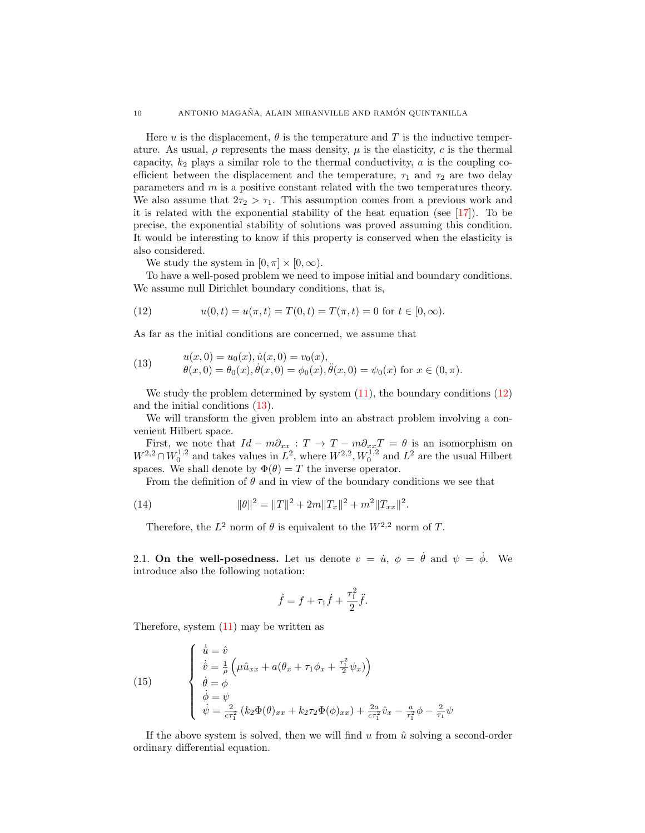Here u is the displacement,  $\theta$  is the temperature and T is the inductive temperature. As usual,  $\rho$  represents the mass density,  $\mu$  is the elasticity, c is the thermal capacity,  $k_2$  plays a similar role to the thermal conductivity,  $a$  is the coupling coefficient between the displacement and the temperature,  $\tau_1$  and  $\tau_2$  are two delay parameters and m is a positive constant related with the two temperatures theory. We also assume that  $2\tau_2 > \tau_1$ . This assumption comes from a previous work and it is related with the exponential stability of the heat equation (see [\[17\]](#page-12-17)). To be precise, the exponential stability of solutions was proved assuming this condition. It would be interesting to know if this property is conserved when the elasticity is also considered.

We study the system in  $[0, \pi] \times [0, \infty)$ .

To have a well-posed problem we need to impose initial and boundary conditions. We assume null Dirichlet boundary conditions, that is,

<span id="page-3-0"></span>(12) 
$$
u(0,t) = u(\pi, t) = T(0,t) = T(\pi, t) = 0 \text{ for } t \in [0, \infty).
$$

As far as the initial conditions are concerned, we assume that

<span id="page-3-1"></span>(13) 
$$
u(x,0) = u_0(x), \dot{u}(x,0) = v_0(x), \n\theta(x,0) = \theta_0(x), \dot{\theta}(x,0) = \phi_0(x), \ddot{\theta}(x,0) = \psi_0(x) \text{ for } x \in (0,\pi).
$$

We study the problem determined by system  $(11)$ , the boundary conditions  $(12)$ and the initial conditions [\(13\)](#page-3-1).

We will transform the given problem into an abstract problem involving a convenient Hilbert space.

First, we note that  $Id - m\partial_{xx} : T \to T - m\partial_{xx}T = \theta$  is an isomorphism on  $W^{2,2} \cap W_0^{1,2}$  and takes values in  $L^2$ , where  $W^{2,2}$ ,  $W_0^{1,2}$  and  $L^2$  are the usual Hilbert spaces. We shall denote by  $\Phi(\theta) = T$  the inverse operator.

From the definition of  $\theta$  and in view of the boundary conditions we see that

(14) 
$$
\|\theta\|^2 = \|T\|^2 + 2m\|T_x\|^2 + m^2\|T_{xx}\|^2.
$$

<span id="page-3-2"></span>Therefore, the  $L^2$  norm of  $\theta$  is equivalent to the  $W^{2,2}$  norm of T.

2.1. On the well-posedness. Let us denote  $v = \dot{u}, \phi = \dot{\theta}$  and  $\psi = \dot{\phi}$ . We introduce also the following notation:

$$
\hat{f} = f + \tau_1 \dot{f} + \frac{\tau_1^2}{2} \ddot{f}.
$$

Therefore, system [\(11\)](#page-2-0) may be written as

(15) 
$$
\begin{cases} \n\dot{\hat{u}} = \hat{v} \\
\dot{\hat{v}} = \frac{1}{\rho} \left( \mu \hat{u}_{xx} + a(\theta_x + \tau_1 \phi_x + \frac{\tau_1^2}{2} \psi_x) \right) \\
\dot{\theta} = \phi \\
\dot{\phi} = \psi \\
\dot{\psi} = \frac{2}{c\tau_1^2} (k_2 \Phi(\theta)_{xx} + k_2 \tau_2 \Phi(\phi)_{xx}) + \frac{2a}{c\tau_1^2} \hat{v}_x - \frac{a}{\tau_1^2} \phi - \frac{2}{\tau_1} \psi\n\end{cases}
$$

If the above system is solved, then we will find u from  $\hat{u}$  solving a second-order ordinary differential equation.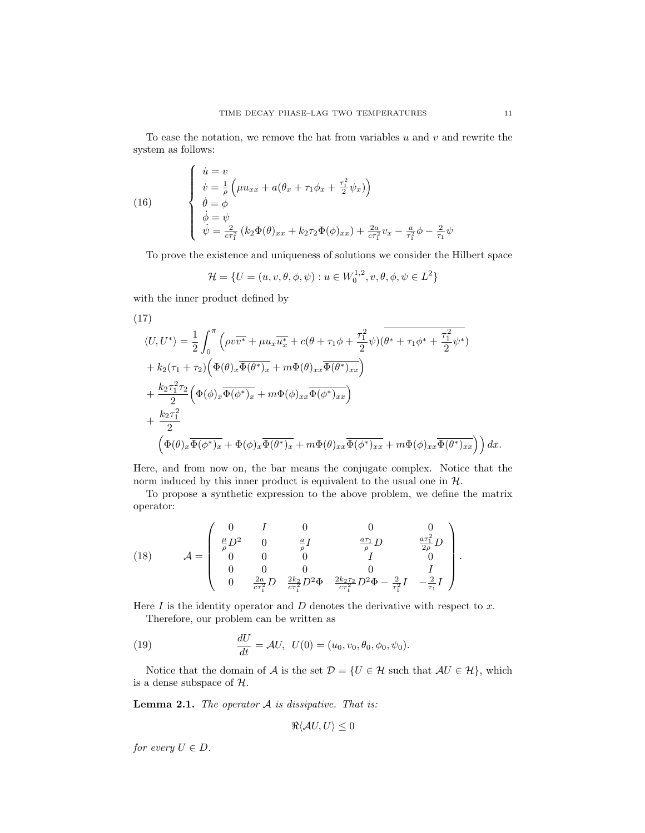To ease the notation, we remove the hat from variables  $u$  and  $v$  and rewrite the system as follows:

(16) 
$$
\begin{cases} \n\dot{u} = v \\
\dot{v} = \frac{1}{\rho} \left( \mu u_{xx} + a(\theta_x + \tau_1 \phi_x + \frac{\tau_1^2}{2} \psi_x) \right) \\
\dot{\theta} = \phi \\
\dot{\phi} = \psi \\
\dot{\psi} = \frac{2}{c\tau_1^2} (k_2 \Phi(\theta)_{xx} + k_2 \tau_2 \Phi(\phi)_{xx}) + \frac{2a}{c\tau_1^2} v_x - \frac{a}{\tau_1^2} \phi - \frac{2}{\tau_1} \psi\n\end{cases}
$$

To prove the existence and uniqueness of solutions we consider the Hilbert space

$$
\mathcal{H} = \{ U = (u, v, \theta, \phi, \psi) : u \in W_0^{1,2}, v, \theta, \phi, \psi \in L^2 \}
$$

with the inner product defined by

(17)  
\n
$$
\langle U, U^* \rangle = \frac{1}{2} \int_0^{\pi} \left( \rho v \overline{v^*} + \mu u_x \overline{u_x^*} + c(\theta + \tau_1 \phi + \frac{\tau_1^2}{2} \psi) (\overline{\theta^* + \tau_1 \phi^* + \frac{\tau_1^2}{2} \psi^*}) + k_2 (\tau_1 + \tau_2) \left( \Phi(\theta)_x \overline{\Phi(\theta^*)_x} + m \Phi(\theta)_{xx} \overline{\Phi(\theta^*)_{xx}} \right) + \frac{k_2 \tau_1^2 \tau_2}{2} \left( \Phi(\phi)_x \overline{\Phi(\phi^*)_x} + m \Phi(\phi)_{xx} \overline{\Phi(\phi^*)_{xx}} \right) + \frac{k_2 \tau_1^2}{2} \left( \Phi(\theta)_x \overline{\Phi(\phi^*)_x} + \Phi(\phi)_x \overline{\Phi(\theta^*)_x} + m \Phi(\theta)_{xx} \overline{\Phi(\phi^*)_{xx}} + m \Phi(\phi)_{xx} \overline{\Phi(\theta^*)_{xx}} \right) dx.
$$

Here, and from now on, the bar means the conjugate complex. Notice that the norm induced by this inner product is equivalent to the usual one in  $H$ .

To propose a synthetic expression to the above problem, we define the matrix operator:

(18) 
$$
\mathcal{A} = \begin{pmatrix} 0 & I & 0 & 0 & 0 \\ \frac{\mu}{\rho} D^2 & 0 & \frac{a}{\rho} I & \frac{a\tau_1}{\rho} D & \frac{a\tau_1^2}{2\rho} D \\ 0 & 0 & 0 & I & 0 \\ 0 & 0 & 0 & 0 & I \\ 0 & \frac{2a}{c\tau_1^2} D & \frac{2k_2}{c\tau_1^2} D^2 \Phi & \frac{2k_2\tau_2}{c\tau_1^2} D^2 \Phi - \frac{2}{\tau_1^2} I & -\frac{2}{\tau_1} I \end{pmatrix}.
$$

Here  $I$  is the identity operator and  $D$  denotes the derivative with respect to  $x$ . Therefore, our problem can be written as

(19) 
$$
\frac{dU}{dt} = \mathcal{A}U, \ \ U(0) = (u_0, v_0, \theta_0, \phi_0, \psi_0).
$$

Notice that the domain of A is the set  $\mathcal{D} = \{U \in \mathcal{H} \text{ such that } \mathcal{A}U \in \mathcal{H}\}\$ , which is a dense subspace of  $H$ .

**Lemma 2.1.** The operator  $A$  is dissipative. That is:

$$
\Re\langle \mathcal{A}U, U\rangle \leq 0
$$

for every  $U \in D$ .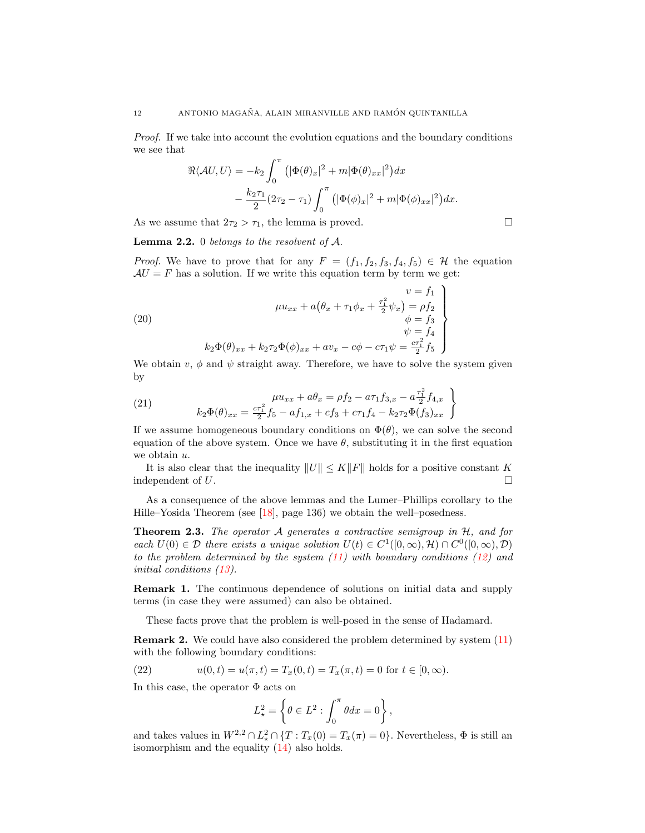Proof. If we take into account the evolution equations and the boundary conditions we see that

$$
\Re\langle \mathcal{A}U, U \rangle = -k_2 \int_0^\pi \left( |\Phi(\theta)_x|^2 + m |\Phi(\theta)_{xx}|^2 \right) dx
$$

$$
- \frac{k_2 \tau_1}{2} (2\tau_2 - \tau_1) \int_0^\pi \left( |\Phi(\phi)_x|^2 + m |\Phi(\phi)_{xx}|^2 \right) dx.
$$

As we assume that  $2\tau_2 > \tau_1$ , the lemma is proved.

**Lemma 2.2.** 0 belongs to the resolvent of  $A$ .

*Proof.* We have to prove that for any  $F = (f_1, f_2, f_3, f_4, f_5) \in \mathcal{H}$  the equation  $AU = F$  has a solution. If we write this equation term by term we get:

(20)  
\n
$$
\mu u_{xx} + a(\theta_x + \tau_1 \phi_x + \frac{\tau_1^2}{2} \psi_x) = \rho f_2
$$
\n
$$
\begin{cases}\n\phi = f_3 \\
\psi = f_4 \\
k_2 \Phi(\theta)_{xx} + k_2 \tau_2 \Phi(\phi)_{xx} + av_x - c\phi - c\tau_1 \psi = \frac{c\tau_1^2}{2} f_5\n\end{cases}
$$

We obtain  $v, \phi$  and  $\psi$  straight away. Therefore, we have to solve the system given by

(21) 
$$
\mu u_{xx} + a\theta_x = \rho f_2 - a\tau_1 f_{3,x} - a\frac{\tau_1^2}{2} f_{4,x}
$$

$$
k_2 \Phi(\theta)_{xx} = \frac{c\tau_1^2}{2} f_5 - a f_{1,x} + c f_3 + c\tau_1 f_4 - k_2 \tau_2 \Phi(f_3)_{xx}
$$

If we assume homogeneous boundary conditions on  $\Phi(\theta)$ , we can solve the second equation of the above system. Once we have  $\theta$ , substituting it in the first equation we obtain  $u$ .

It is also clear that the inequality  $||U|| \leq K||F||$  holds for a positive constant K independent of U.

As a consequence of the above lemmas and the Lumer–Phillips corollary to the Hille–Yosida Theorem (see [\[18\]](#page-12-18), page 136) we obtain the well–posedness.

**Theorem 2.3.** The operator  $\mathcal A$  generates a contractive semigroup in  $\mathcal H$ , and for each  $U(0) \in \mathcal{D}$  there exists a unique solution  $U(t) \in C^1([0,\infty),\mathcal{H}) \cap C^0([0,\infty),\mathcal{D})$ to the problem determined by the system  $(11)$  with boundary conditions  $(12)$  and initial conditions [\(13\)](#page-3-1).

Remark 1. The continuous dependence of solutions on initial data and supply terms (in case they were assumed) can also be obtained.

These facts prove that the problem is well-posed in the sense of Hadamard.

Remark 2. We could have also considered the problem determined by system [\(11\)](#page-2-0) with the following boundary conditions:

<span id="page-5-0"></span>(22) 
$$
u(0,t) = u(\pi, t) = T_x(0,t) = T_x(\pi, t) = 0 \text{ for } t \in [0, \infty).
$$

In this case, the operator  $\Phi$  acts on

$$
L_{\star}^2 = \left\{\theta \in L^2 : \int_0^{\pi} \theta dx = 0\right\},\,
$$

and takes values in  $W^{2,2} \cap L^2_{\star} \cap \{T : T_x(0) = T_x(\pi) = 0\}$ . Nevertheless,  $\Phi$  is still an isomorphism and the equality [\(14\)](#page-3-2) also holds.

$$
\qquad \qquad \Box
$$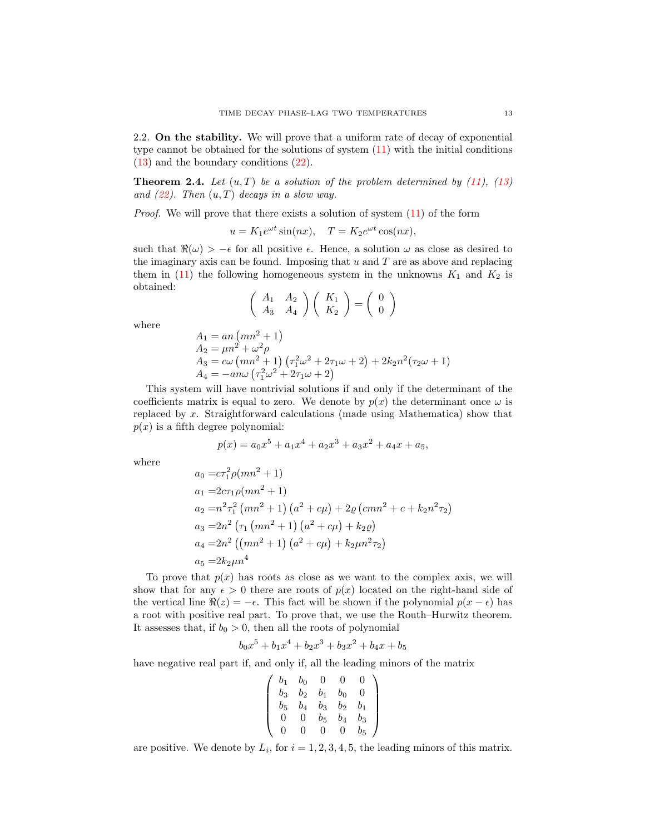2.2. On the stability. We will prove that a uniform rate of decay of exponential type cannot be obtained for the solutions of system [\(11\)](#page-2-0) with the initial conditions [\(13\)](#page-3-1) and the boundary conditions [\(22\)](#page-5-0).

**Theorem 2.4.** Let  $(u, T)$  be a solution of the problem determined by [\(11\)](#page-2-0), [\(13\)](#page-3-1) and  $(22)$ . Then  $(u, T)$  decays in a slow way.

*Proof.* We will prove that there exists a solution of system  $(11)$  of the form

$$
u = K_1 e^{\omega t} \sin(nx), \quad T = K_2 e^{\omega t} \cos(nx),
$$

such that  $\Re(\omega) > -\epsilon$  for all positive  $\epsilon$ . Hence, a solution  $\omega$  as close as desired to the imaginary axis can be found. Imposing that  $u$  and  $T$  are as above and replacing them in [\(11\)](#page-2-0) the following homogeneous system in the unknowns  $K_1$  and  $K_2$  is obtained:

$$
\left(\begin{array}{cc} A_1 & A_2 \\ A_3 & A_4 \end{array}\right) \left(\begin{array}{c} K_1 \\ K_2 \end{array}\right) = \left(\begin{array}{c} 0 \\ 0 \end{array}\right)
$$

where

$$
A_1 = an (mn^2 + 1)
$$
  
\n
$$
A_2 = \mu n^2 + \omega^2 \rho
$$
  
\n
$$
A_3 = c\omega (mn^2 + 1) (\tau_1^2 \omega^2 + 2\tau_1 \omega + 2) + 2k_2 n^2 (\tau_2 \omega + 1)
$$
  
\n
$$
A_4 = -an\omega (\tau_1^2 \omega^2 + 2\tau_1 \omega + 2)
$$

This system will have nontrivial solutions if and only if the determinant of the coefficients matrix is equal to zero. We denote by  $p(x)$  the determinant once  $\omega$  is replaced by x. Straightforward calculations (made using Mathematica) show that  $p(x)$  is a fifth degree polynomial:

$$
p(x) = a_0 x^5 + a_1 x^4 + a_2 x^3 + a_3 x^2 + a_4 x + a_5,
$$

where

$$
a_0 = cr_1^2 \rho (mn^2 + 1)
$$
  
\n
$$
a_1 = 2cr_1 \rho (mn^2 + 1)
$$
  
\n
$$
a_2 = n^2 r_1^2 (mn^2 + 1) (a^2 + c\mu) + 2\varrho (cmn^2 + c + k_2 n^2 \tau_2)
$$
  
\n
$$
a_3 = 2n^2 (\tau_1 (mn^2 + 1) (a^2 + c\mu) + k_2 \varrho)
$$
  
\n
$$
a_4 = 2n^2 ((mn^2 + 1) (a^2 + c\mu) + k_2 \mu n^2 \tau_2)
$$
  
\n
$$
a_5 = 2k_2 \mu n^4
$$

To prove that  $p(x)$  has roots as close as we want to the complex axis, we will show that for any  $\epsilon > 0$  there are roots of  $p(x)$  located on the right-hand side of the vertical line  $\Re(z) = -\epsilon$ . This fact will be shown if the polynomial  $p(x - \epsilon)$  has a root with positive real part. To prove that, we use the Routh–Hurwitz theorem. It assesses that, if  $b_0 > 0$ , then all the roots of polynomial

$$
b_0x^5 + b_1x^4 + b_2x^3 + b_3x^2 + b_4x + b_5
$$

have negative real part if, and only if, all the leading minors of the matrix

$$
\left(\begin{array}{cccc}b_1&b_0&0&0&0\\b_3&b_2&b_1&b_0&0\\b_5&b_4&b_3&b_2&b_1\\0&0&b_5&b_4&b_3\\0&0&0&0&b_5\end{array}\right)
$$

are positive. We denote by  $L_i$ , for  $i = 1, 2, 3, 4, 5$ , the leading minors of this matrix.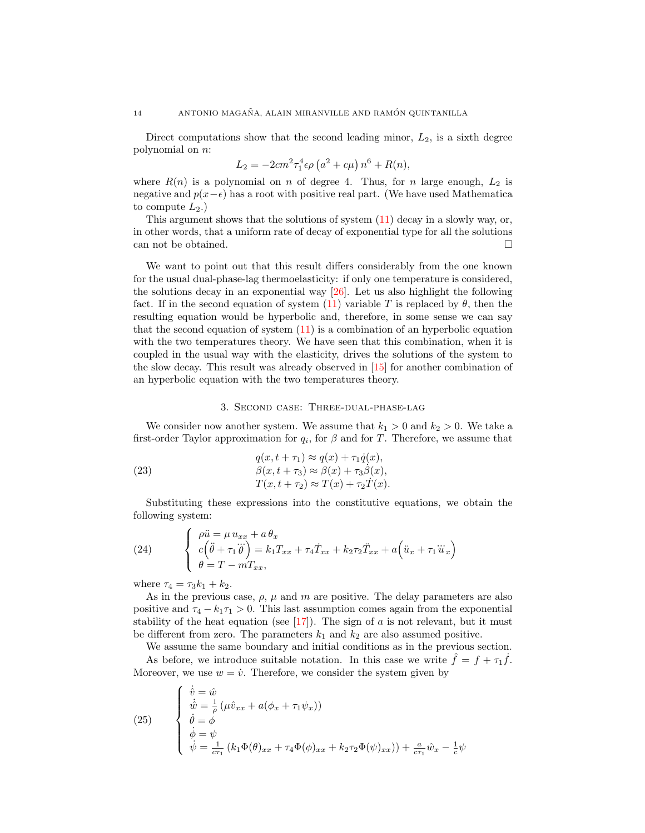Direct computations show that the second leading minor,  $L_2$ , is a sixth degree polynomial on n:

$$
L_2 = -2cm^2 \tau_1^4 \epsilon \rho (a^2 + c\mu) n^6 + R(n),
$$

where  $R(n)$  is a polynomial on n of degree 4. Thus, for n large enough,  $L_2$  is negative and  $p(x-\epsilon)$  has a root with positive real part. (We have used Mathematica to compute  $L_2$ .)

This argument shows that the solutions of system [\(11\)](#page-2-0) decay in a slowly way, or, in other words, that a uniform rate of decay of exponential type for all the solutions can not be obtained.

We want to point out that this result differs considerably from the one known for the usual dual-phase-lag thermoelasticity: if only one temperature is considered, the solutions decay in an exponential way [\[26\]](#page-12-3). Let us also highlight the following fact. If in the second equation of system [\(11\)](#page-2-0) variable T is replaced by  $\theta$ , then the resulting equation would be hyperbolic and, therefore, in some sense we can say that the second equation of system [\(11\)](#page-2-0) is a combination of an hyperbolic equation with the two temperatures theory. We have seen that this combination, when it is coupled in the usual way with the elasticity, drives the solutions of the system to the slow decay. This result was already observed in [\[15\]](#page-12-16) for another combination of an hyperbolic equation with the two temperatures theory.

### 3. Second case: Three-dual-phase-lag

We consider now another system. We assume that  $k_1 > 0$  and  $k_2 > 0$ . We take a first-order Taylor approximation for  $q_i$ , for  $\beta$  and for T. Therefore, we assume that

(23) 
$$
q(x, t + \tau_1) \approx q(x) + \tau_1 \dot{q}(x),
$$

$$
\beta(x, t + \tau_3) \approx \beta(x) + \tau_3 \dot{\beta}(x),
$$

$$
T(x, t + \tau_2) \approx T(x) + \tau_2 \dot{T}(x).
$$

Substituting these expressions into the constitutive equations, we obtain the following system:

<span id="page-7-0"></span>(24) 
$$
\begin{cases} \n\rho \ddot{u} = \mu u_{xx} + a \theta_x \\ \nc \left( \ddot{\theta} + \tau_1 \dddot{\theta} \right) = k_1 T_{xx} + \tau_4 \dot{T}_{xx} + k_2 \tau_2 \ddot{T}_{xx} + a \left( \ddot{u}_x + \tau_1 \dddot{u}_x \right) \\ \theta = T - m T_{xx}, \n\end{cases}
$$

where  $\tau_4 = \tau_3 k_1 + k_2$ .

As in the previous case,  $\rho$ ,  $\mu$  and  $m$  are positive. The delay parameters are also positive and  $\tau_4 - k_1 \tau_1 > 0$ . This last assumption comes again from the exponential stability of the heat equation (see  $[17]$ ). The sign of a is not relevant, but it must be different from zero. The parameters  $k_1$  and  $k_2$  are also assumed positive.

We assume the same boundary and initial conditions as in the previous section. As before, we introduce suitable notation. In this case we write  $\hat{f} = f + \tau_1 \hat{f}$ . Moreover, we use  $w = \dot{v}$ . Therefore, we consider the system given by

(25) 
$$
\begin{cases} \n\dot{\hat{v}} = \hat{w} \\
\n\dot{\hat{w}} = \frac{1}{\rho} (\mu \hat{v}_{xx} + a(\phi_x + \tau_1 \psi_x)) \\
\n\dot{\theta} = \phi \\
\n\dot{\phi} = \psi \\
\n\dot{\psi} = \frac{1}{c\tau_1} (k_1 \Phi(\theta)_{xx} + \tau_4 \Phi(\phi)_{xx} + k_2 \tau_2 \Phi(\psi)_{xx})) + \frac{a}{c\tau_1} \hat{w}_x - \frac{1}{c} \psi\n\end{cases}
$$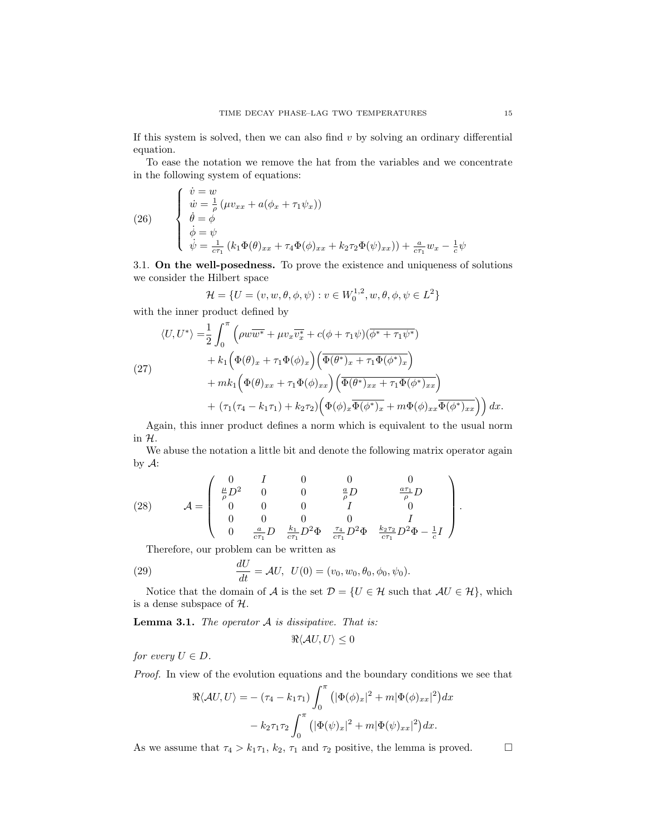If this system is solved, then we can also find  $v$  by solving an ordinary differential equation.

To ease the notation we remove the hat from the variables and we concentrate in the following system of equations:

(26) 
$$
\begin{cases}\n\dot{v} = w \\
\dot{w} = \frac{1}{\rho} (\mu v_{xx} + a(\phi_x + \tau_1 \psi_x)) \\
\dot{\theta} = \phi \\
\dot{\phi} = \psi \\
\dot{\psi} = \frac{1}{c\tau_1} (k_1 \Phi(\theta)_{xx} + \tau_4 \Phi(\phi)_{xx} + k_2 \tau_2 \Phi(\psi)_{xx})) + \frac{a}{c\tau_1} w_x - \frac{1}{c} \psi\n\end{cases}
$$

3.1. On the well-posedness. To prove the existence and uniqueness of solutions we consider the Hilbert space

$$
\mathcal{H} = \{ U = (v, w, \theta, \phi, \psi) : v \in W_0^{1,2}, w, \theta, \phi, \psi \in L^2 \}
$$

with the inner product defined by

(27)  
\n
$$
\langle U, U^* \rangle = \frac{1}{2} \int_0^{\pi} \left( \rho w \overline{w^*} + \mu v_x \overline{v_x^*} + c(\phi + \tau_1 \psi) (\overline{\phi^* + \tau_1 \psi^*}) + k_1 \left( \Phi(\theta)_x + \tau_1 \Phi(\phi)_x \right) \left( \overline{\Phi(\theta^*)_x + \tau_1 \Phi(\phi^*)_x} \right) + mk_1 \left( \Phi(\theta)_{xx} + \tau_1 \Phi(\phi)_{xx} \right) \left( \overline{\Phi(\theta^*)_{xx} + \tau_1 \Phi(\phi^*)_{xx}} \right) + (\tau_1 (\tau_4 - k_1 \tau_1) + k_2 \tau_2) \left( \Phi(\phi)_x \overline{\Phi(\phi^*)_x} + m \Phi(\phi)_{xx} \overline{\Phi(\phi^*)_{xx}} \right) dx.
$$

Again, this inner product defines a norm which is equivalent to the usual norm in H.

We abuse the notation a little bit and denote the following matrix operator again by  $A$ :

<span id="page-8-0"></span>(28) 
$$
\mathcal{A} = \begin{pmatrix} 0 & I & 0 & 0 & 0 \\ \frac{\mu}{\rho} D^2 & 0 & 0 & \frac{a}{\rho} D & \frac{a \tau_1}{\rho} D \\ 0 & 0 & 0 & I & 0 \\ 0 & 0 & 0 & 0 & I \\ 0 & \frac{a}{c \tau_1} D & \frac{k_1}{c \tau_1} D^2 \Phi & \frac{\tau_4}{c \tau_1} D^2 \Phi & \frac{k_2 \tau_2}{c \tau_1} D^2 \Phi - \frac{1}{c} I \end{pmatrix}.
$$

Therefore, our problem can be written as

(29) 
$$
\frac{dU}{dt} = \mathcal{A}U, \ \ U(0) = (v_0, w_0, \theta_0, \phi_0, \psi_0).
$$

Notice that the domain of A is the set  $\mathcal{D} = \{U \in \mathcal{H} \text{ such that } \mathcal{A}U \in \mathcal{H}\}\$ , which is a dense subspace of  $H$ .

<span id="page-8-1"></span>**Lemma 3.1.** The operator  $A$  is dissipative. That is:

 $\Re\langle \mathcal{A}U, U\rangle \leq 0$ 

for every  $U \in D$ .

Proof. In view of the evolution equations and the boundary conditions we see that

$$
\Re\langle \mathcal{A}U, U \rangle = -(\tau_4 - k_1 \tau_1) \int_0^{\pi} \left( |\Phi(\phi)_x|^2 + m |\Phi(\phi)_{xx}|^2 \right) dx
$$

$$
-k_2 \tau_1 \tau_2 \int_0^{\pi} \left( |\Phi(\psi)_x|^2 + m |\Phi(\psi)_{xx}|^2 \right) dx.
$$

As we assume that  $\tau_4 > k_1 \tau_1$ ,  $k_2$ ,  $\tau_1$  and  $\tau_2$  positive, the lemma is proved.  $\Box$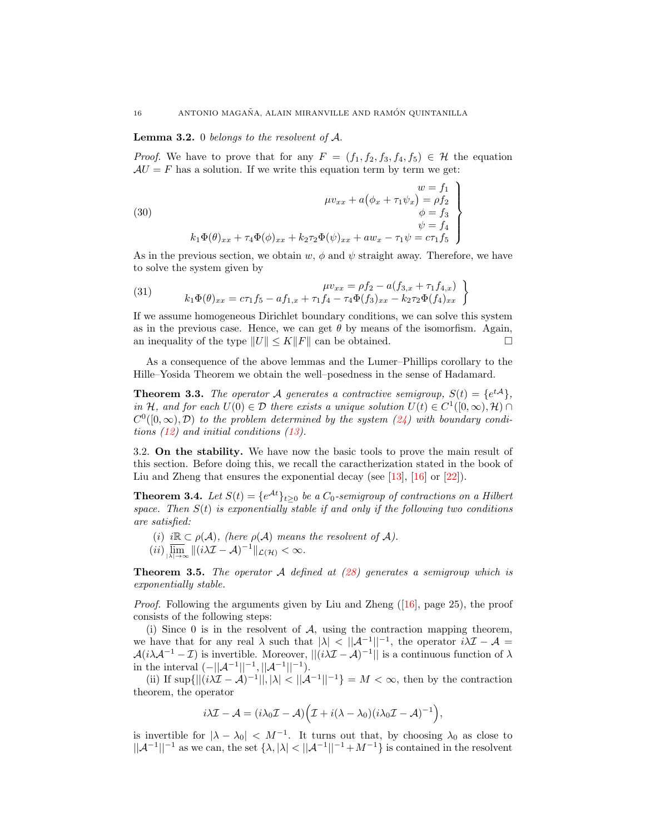# **Lemma 3.2.** 0 belongs to the resolvent of  $A$ .

*Proof.* We have to prove that for any  $F = (f_1, f_2, f_3, f_4, f_5) \in \mathcal{H}$  the equation  $AU = F$  has a solution. If we write this equation term by term we get:

(30)  
\n
$$
\begin{aligned}\n & w = f_1 \\
 & \phi_x + a(\phi_x + \tau_1 \psi_x) = \rho f_2 \\
 & \phi = f_3 \\
 & \psi = f_4 \\
 & \psi = f_4\n \end{aligned}
$$
\n
$$
k_1 \Phi(\theta)_{xx} + \tau_4 \Phi(\phi)_{xx} + k_2 \tau_2 \Phi(\psi)_{xx} + aw_x - \tau_1 \psi = c\tau_1 f_5
$$

As in the previous section, we obtain  $w, \phi$  and  $\psi$  straight away. Therefore, we have to solve the system given by

(31) 
$$
\mu v_{xx} = \rho f_2 - a(f_{3,x} + \tau_1 f_{4,x})
$$

$$
k_1 \Phi(\theta)_{xx} = c\tau_1 f_5 - a f_{1,x} + \tau_1 f_4 - \tau_4 \Phi(f_3)_{xx} - k_2 \tau_2 \Phi(f_4)_{xx}
$$

If we assume homogeneous Dirichlet boundary conditions, we can solve this system as in the previous case. Hence, we can get  $\theta$  by means of the isomorfism. Again, an inequality of the type  $||U|| \leq K||F||$  can be obtained.

As a consequence of the above lemmas and the Lumer–Phillips corollary to the Hille–Yosida Theorem we obtain the well–posedness in the sense of Hadamard.

**Theorem 3.3.** The operator A generates a contractive semigroup,  $S(t) = \{e^{tA}\},\$ in H, and for each  $U(0) \in \mathcal{D}$  there exists a unique solution  $U(t) \in C^1([0,\infty),\mathcal{H}) \cap$  $C^0([0,\infty),\mathcal{D})$  to the problem determined by the system  $(24)$  with boundary conditions [\(12\)](#page-3-0) and initial conditions [\(13\)](#page-3-1).

3.2. On the stability. We have now the basic tools to prove the main result of this section. Before doing this, we recall the caractherization stated in the book of Liu and Zheng that ensures the exponential decay (see [\[13\]](#page-12-19), [\[16\]](#page-12-20) or [\[22\]](#page-12-21)).

**Theorem 3.4.** Let  $S(t) = \{e^{\mathcal{A}t}\}_{t\geq0}$  be a  $C_0$ -semigroup of contractions on a Hilbert space. Then  $S(t)$  is exponentially stable if and only if the following two conditions are satisfied:

- (i) i $\mathbb{R} \subset \rho(\mathcal{A})$ , (here  $\rho(\mathcal{A})$  means the resolvent of  $\mathcal{A}$ ).
- $(iii) \overline{\lim}_{\vert \lambda \vert \to \infty} \Vert (i\lambda \mathcal{I} \mathcal{A})^{-1} \Vert_{\mathcal{L}(\mathcal{H})} < \infty.$

**Theorem 3.5.** The operator A defined at  $(28)$  generates a semigroup which is exponentially stable.

*Proof.* Following the arguments given by Liu and Zheng  $([16]$  $([16]$ , page 25), the proof consists of the following steps:

(i) Since 0 is in the resolvent of  $A$ , using the contraction mapping theorem, we have that for any real  $\lambda$  such that  $|\lambda| < |\mathcal{A}^{-1}|^{-1}$ , the operator  $i\lambda\mathcal{I}-\mathcal{A}$  $\mathcal{A}(i\lambda \mathcal{A}^{-1} - \mathcal{I})$  is invertible. Moreover,  $||(i\lambda \mathcal{I} - \mathcal{A})^{-1}||$  is a continuous function of  $\lambda$ in the interval  $(-||A^{-1}||^{-1}, ||A^{-1}||^{-1}).$ 

(ii) If  $\sup\{\|(i\lambda\mathcal{I}-\mathcal{A})^{-1}\|,|\lambda|<\|\mathcal{A}^{-1}\|^{-1}\}=M<\infty$ , then by the contraction theorem, the operator

$$
i\lambda \mathcal{I} - \mathcal{A} = (i\lambda_0 \mathcal{I} - \mathcal{A}) \Big( \mathcal{I} + i(\lambda - \lambda_0)(i\lambda_0 \mathcal{I} - \mathcal{A})^{-1} \Big),
$$

is invertible for  $|\lambda - \lambda_0| < M^{-1}$ . It turns out that, by choosing  $\lambda_0$  as close to  $||A^{-1}||^{-1}$  as we can, the set  $\{\lambda, |\lambda| < ||A^{-1}||^{-1}+M^{-1}\}\$ is contained in the resolvent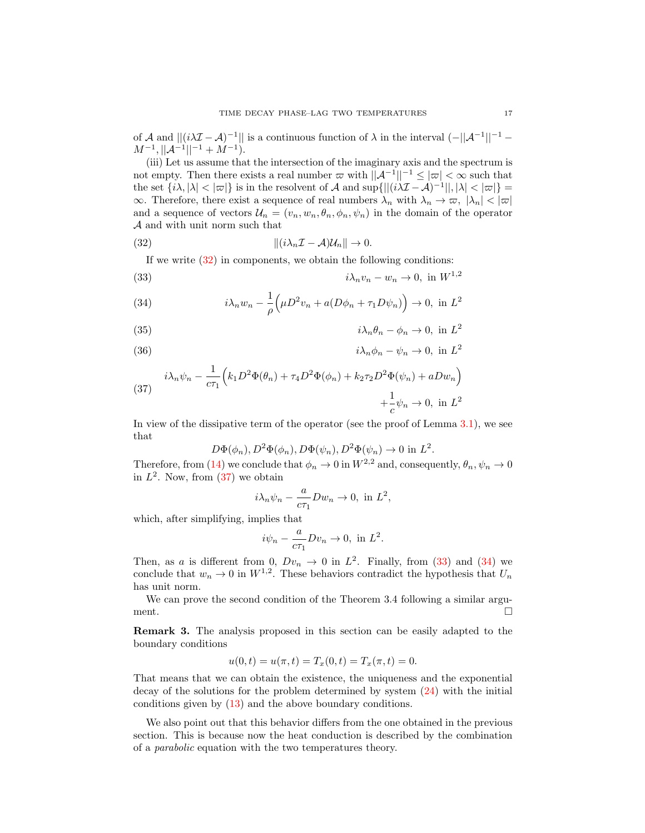of A and  $||(i\lambda \mathcal{I} - A)^{-1}||$  is a continuous function of  $\lambda$  in the interval  $(-||A^{-1}||^{-1} M^{-1}, ||\mathcal{A}^{-1}||^{-1} + M^{-1}).$ 

(iii) Let us assume that the intersection of the imaginary axis and the spectrum is not empty. Then there exists a real number  $\varpi$  with  $||A^{-1}||^{-1} \leq |\varpi| < \infty$  such that the set  $\{i\lambda, |\lambda| < |\varpi|\}$  is in the resolvent of A and sup $\{||(i\lambda\mathcal{I}-\mathcal{A})^{-1}||, |\lambda| < |\varpi|\}$  $\infty$ . Therefore, there exist a sequence of real numbers  $\lambda_n$  with  $\lambda_n \to \infty$ ,  $|\lambda_n| < |\varpi|$ and a sequence of vectors  $\mathcal{U}_n = (v_n, w_n, \theta_n, \phi_n, \psi_n)$  in the domain of the operator A and with unit norm such that

(32) 
$$
\| (i\lambda_n \mathcal{I} - \mathcal{A}) \mathcal{U}_n \| \to 0.
$$

<span id="page-10-1"></span><span id="page-10-0"></span>If we write  $(32)$  in components, we obtain the following conditions:

(33) 
$$
i\lambda_n v_n - w_n \to 0, \text{ in } W^{1,2}
$$

(34) 
$$
i\lambda_n w_n - \frac{1}{\rho} \left( \mu D^2 v_n + a (D\phi_n + \tau_1 D\psi_n) \right) \to 0, \text{ in } L^2
$$

(35) 
$$
i\lambda_n \theta_n - \phi_n \to 0, \text{ in } L^2
$$

(36) 
$$
i\lambda_n \phi_n - \psi_n \to 0, \text{ in } L^2
$$

(37) 
$$
i\lambda_n \psi_n - \frac{1}{c\tau_1} \Big( k_1 D^2 \Phi(\theta_n) + \tau_4 D^2 \Phi(\phi_n) + k_2 \tau_2 D^2 \Phi(\psi_n) + aDw_n \Big) + \frac{1}{c} \psi_n \to 0, \text{ in } L^2
$$

In view of the dissipative term of the operator (see the proof of Lemma [3.1\)](#page-8-1), we see that

$$
D\Phi(\phi_n), D^2\Phi(\phi_n), D\Phi(\psi_n), D^2\Phi(\psi_n) \to 0 \text{ in } L^2.
$$

Therefore, from [\(14\)](#page-3-2) we conclude that  $\phi_n \to 0$  in  $W^{2,2}$  and, consequently,  $\theta_n$ ,  $\psi_n \to 0$ in  $L^2$ . Now, from  $(37)$  we obtain

$$
i\lambda_n \psi_n - \frac{a}{c\tau_1} Dw_n \to 0, \text{ in } L^2,
$$

which, after simplifying, implies that

$$
i\psi_n - \frac{a}{c\tau_1}Dv_n \to 0, \text{ in } L^2.
$$

Then, as a is different from 0,  $Dv_n \to 0$  in  $L^2$ . Finally, from [\(33\)](#page-10-1) and [\(34\)](#page-10-1) we conclude that  $w_n \to 0$  in  $W^{1,2}$ . These behaviors contradict the hypothesis that  $U_n$ has unit norm.

We can prove the second condition of the Theorem 3.4 following a similar argument.

Remark 3. The analysis proposed in this section can be easily adapted to the boundary conditions

$$
u(0,t) = u(\pi, t) = T_x(0,t) = T_x(\pi, t) = 0.
$$

That means that we can obtain the existence, the uniqueness and the exponential decay of the solutions for the problem determined by system [\(24\)](#page-7-0) with the initial conditions given by [\(13\)](#page-3-1) and the above boundary conditions.

We also point out that this behavior differs from the one obtained in the previous section. This is because now the heat conduction is described by the combination of a parabolic equation with the two temperatures theory.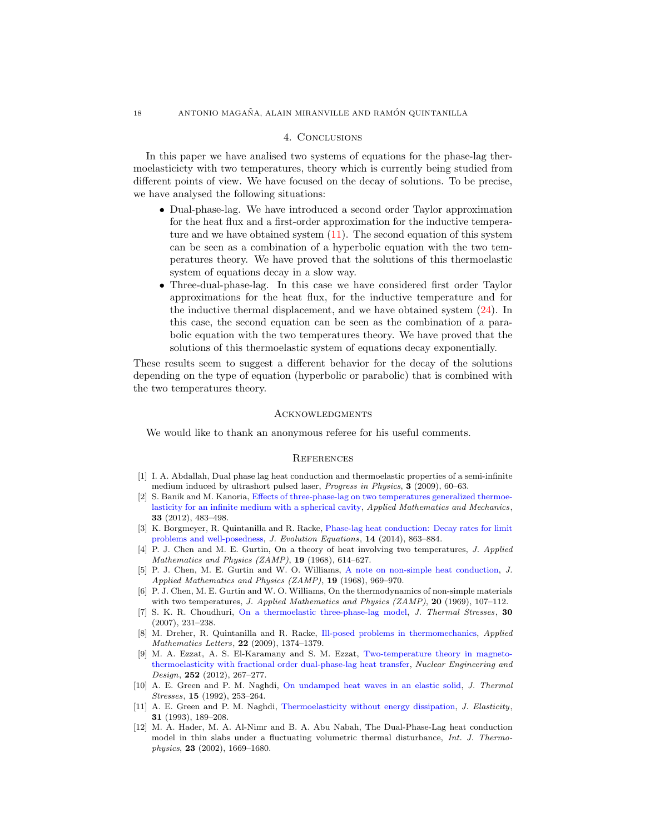# 4. Conclusions

In this paper we have analised two systems of equations for the phase-lag thermoelasticicty with two temperatures, theory which is currently being studied from different points of view. We have focused on the decay of solutions. To be precise, we have analysed the following situations:

- Dual-phase-lag. We have introduced a second order Taylor approximation for the heat flux and a first-order approximation for the inductive temperature and we have obtained system [\(11\)](#page-2-0). The second equation of this system can be seen as a combination of a hyperbolic equation with the two temperatures theory. We have proved that the solutions of this thermoelastic system of equations decay in a slow way.
- Three-dual-phase-lag. In this case we have considered first order Taylor approximations for the heat flux, for the inductive temperature and for the inductive thermal displacement, and we have obtained system [\(24\)](#page-7-0). In this case, the second equation can be seen as the combination of a parabolic equation with the two temperatures theory. We have proved that the solutions of this thermoelastic system of equations decay exponentially.

These results seem to suggest a different behavior for the decay of the solutions depending on the type of equation (hyperbolic or parabolic) that is combined with the two temperatures theory.

### **ACKNOWLEDGMENTS**

We would like to thank an anonymous referee for his useful comments.

## **REFERENCES**

- <span id="page-11-4"></span>[1] I. A. Abdallah, Dual phase lag heat conduction and thermoelastic properties of a semi-infinite medium induced by ultrashort pulsed laser, Progress in Physics, 3 (2009), 60–63.
- <span id="page-11-10"></span>[2] S. Banik and M. Kanoria, [Effects of three-phase-lag on two temperatures generalized thermoe](http://dx.doi.org/10.1007/s10483-012-1565-8)[lasticity for an infinite medium with a spherical cavity,](http://dx.doi.org/10.1007/s10483-012-1565-8) Applied Mathematics and Mechanics, 33 (2012), 483–498.
- <span id="page-11-5"></span>[3] K. Borgmeyer, R. Quintanilla and R. Racke, [Phase-lag heat conduction: Decay rates for limit](http://dx.doi.org/10.1007/s00028-014-0242-6) [problems and well-posedness,](http://dx.doi.org/10.1007/s00028-014-0242-6) J. Evolution Equations, 14 (2014), 863–884.
- <span id="page-11-7"></span>[4] P. J. Chen and M. E. Gurtin, On a theory of heat involving two temperatures, J. Applied Mathematics and Physics  $(ZAMP)$ , 19 (1968), 614-627.
- <span id="page-11-8"></span>[5] P. J. Chen, M. E. Gurtin and W. O. Williams, [A note on non-simple heat conduction,](http://dx.doi.org/10.1007/BF01602278) J. Applied Mathematics and Physics (ZAMP), 19 (1968), 969–970.
- <span id="page-11-9"></span>[6] P. J. Chen, M. E. Gurtin and W. O. Williams, On the thermodynamics of non-simple materials with two temperatures, J. Applied Mathematics and Physics  $(ZAMP)$ , 20 (1969), 107-112.
- <span id="page-11-0"></span>[7] S. K. R. Choudhuri, [On a thermoelastic three-phase-lag model,](http://dx.doi.org/10.1080/01495730601130919) J. Thermal Stresses, 30 (2007), 231–238.
- <span id="page-11-3"></span>[8] M. Dreher, R. Quintanilla and R. Racke, [Ill-posed problems in thermomechanics,](http://dx.doi.org/10.1016/j.aml.2009.03.010) Applied Mathematics Letters, **22** (2009), 1374-1379.
- <span id="page-11-11"></span>[9] M. A. Ezzat, A. S. El-Karamany and S. M. Ezzat, [Two-temperature theory in magneto](http://dx.doi.org/10.1016/j.nucengdes.2012.06.012)[thermoelasticity with fractional order dual-phase-lag heat transfer,](http://dx.doi.org/10.1016/j.nucengdes.2012.06.012) Nuclear Engineering and Design, 252 (2012), 267–277.
- <span id="page-11-1"></span>[10] A. E. Green and P. M. Naghdi, [On undamped heat waves in an elastic solid,](http://dx.doi.org/10.1080/01495739208946136) J. Thermal Stresses, 15 (1992), 253–264.
- <span id="page-11-2"></span>[11] A. E. Green and P. M. Naghdi, [Thermoelasticity without energy dissipation,](http://dx.doi.org/10.1007/BF00044969) J. Elasticity, 31 (1993), 189–208.
- <span id="page-11-6"></span>[12] M. A. Hader, M. A. Al-Nimr and B. A. Abu Nabah, The Dual-Phase-Lag heat conduction model in thin slabs under a fluctuating volumetric thermal disturbance, Int. J. Thermophysics, 23 (2002), 1669–1680.